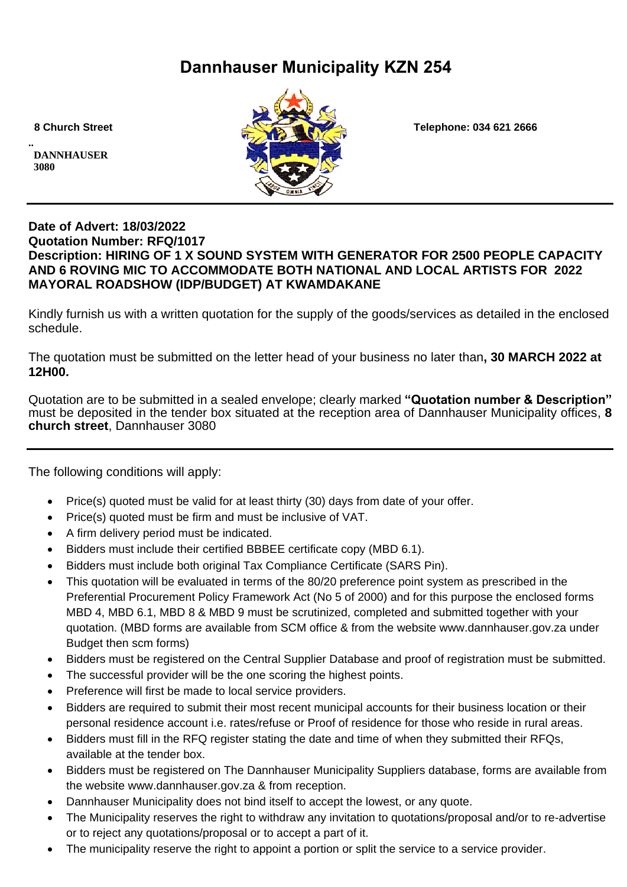# **Dannhauser Municipality KZN 254**

**.. DANNHAUSER 3080** 



 **8 Church Street Telephone: 034 621 2666**

# **Date of Advert: 18/03/2022 Quotation Number: RFQ/1017 Description: HIRING OF 1 X SOUND SYSTEM WITH GENERATOR FOR 2500 PEOPLE CAPACITY AND 6 ROVING MIC TO ACCOMMODATE BOTH NATIONAL AND LOCAL ARTISTS FOR 2022 MAYORAL ROADSHOW (IDP/BUDGET) AT KWAMDAKANE**

Kindly furnish us with a written quotation for the supply of the goods/services as detailed in the enclosed schedule.

The quotation must be submitted on the letter head of your business no later than**, 30 MARCH 2022 at 12H00.**

Quotation are to be submitted in a sealed envelope; clearly marked **"Quotation number & Description"** must be deposited in the tender box situated at the reception area of Dannhauser Municipality offices, **8 church street**, Dannhauser 3080

The following conditions will apply:

- Price(s) quoted must be valid for at least thirty (30) days from date of your offer.
- Price(s) quoted must be firm and must be inclusive of VAT.
- A firm delivery period must be indicated.
- Bidders must include their certified BBBEE certificate copy (MBD 6.1).
- Bidders must include both original Tax Compliance Certificate (SARS Pin).
- This quotation will be evaluated in terms of the 80/20 preference point system as prescribed in the Preferential Procurement Policy Framework Act (No 5 of 2000) and for this purpose the enclosed forms MBD 4, MBD 6.1, MBD 8 & MBD 9 must be scrutinized, completed and submitted together with your quotation. (MBD forms are available from SCM office & from the website www.dannhauser.gov.za under Budget then scm forms)
- Bidders must be registered on the Central Supplier Database and proof of registration must be submitted.
- The successful provider will be the one scoring the highest points.
- Preference will first be made to local service providers.
- Bidders are required to submit their most recent municipal accounts for their business location or their personal residence account i.e. rates/refuse or Proof of residence for those who reside in rural areas.
- Bidders must fill in the RFQ register stating the date and time of when they submitted their RFQs. available at the tender box.
- Bidders must be registered on The Dannhauser Municipality Suppliers database, forms are available from the website www.dannhauser.gov.za & from reception.
- Dannhauser Municipality does not bind itself to accept the lowest, or any quote.
- The Municipality reserves the right to withdraw any invitation to quotations/proposal and/or to re-advertise or to reject any quotations/proposal or to accept a part of it.
- The municipality reserve the right to appoint a portion or split the service to a service provider.